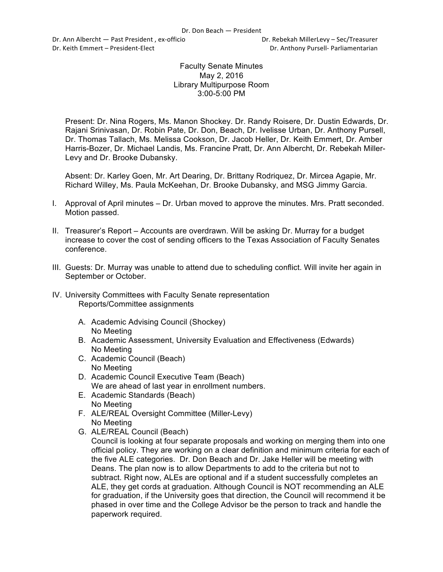Dr. Ann Albercht — Past President, ex-officio **Britannia Communist Communist Communist** Dr. Rebekah MillerLevy – Sec/Treasurer Dr. Keith Emmert – President-Elect **Dr. Anthony Pursell- Parliamentarian** 

## Faculty Senate Minutes May 2, 2016 Library Multipurpose Room 3:00-5:00 PM

Present: Dr. Nina Rogers, Ms. Manon Shockey. Dr. Randy Roisere, Dr. Dustin Edwards, Dr. Rajani Srinivasan, Dr. Robin Pate, Dr. Don, Beach, Dr. Ivelisse Urban, Dr. Anthony Pursell, Dr. Thomas Tallach, Ms. Melissa Cookson, Dr. Jacob Heller, Dr. Keith Emmert, Dr. Amber Harris-Bozer, Dr. Michael Landis, Ms. Francine Pratt, Dr. Ann Albercht, Dr. Rebekah Miller-Levy and Dr. Brooke Dubansky.

Absent: Dr. Karley Goen, Mr. Art Dearing, Dr. Brittany Rodriquez, Dr. Mircea Agapie, Mr. Richard Willey, Ms. Paula McKeehan, Dr. Brooke Dubansky, and MSG Jimmy Garcia.

- I. Approval of April minutes Dr. Urban moved to approve the minutes. Mrs. Pratt seconded. Motion passed.
- II. Treasurer's Report Accounts are overdrawn. Will be asking Dr. Murray for a budget increase to cover the cost of sending officers to the Texas Association of Faculty Senates conference.
- III. Guests: Dr. Murray was unable to attend due to scheduling conflict. Will invite her again in September or October.
- IV. University Committees with Faculty Senate representation Reports/Committee assignments
	- A. Academic Advising Council (Shockey) No Meeting
	- B. Academic Assessment, University Evaluation and Effectiveness (Edwards) No Meeting
	- C. Academic Council (Beach) No Meeting
	- D. Academic Council Executive Team (Beach) We are ahead of last year in enrollment numbers.
	- E. Academic Standards (Beach) No Meeting
	- F. ALE/REAL Oversight Committee (Miller-Levy) No Meeting
	- G. ALE/REAL Council (Beach)

Council is looking at four separate proposals and working on merging them into one official policy. They are working on a clear definition and minimum criteria for each of the five ALE categories. Dr. Don Beach and Dr. Jake Heller will be meeting with Deans. The plan now is to allow Departments to add to the criteria but not to subtract. Right now, ALEs are optional and if a student successfully completes an ALE, they get cords at graduation. Although Council is NOT recommending an ALE for graduation, if the University goes that direction, the Council will recommend it be phased in over time and the College Advisor be the person to track and handle the paperwork required.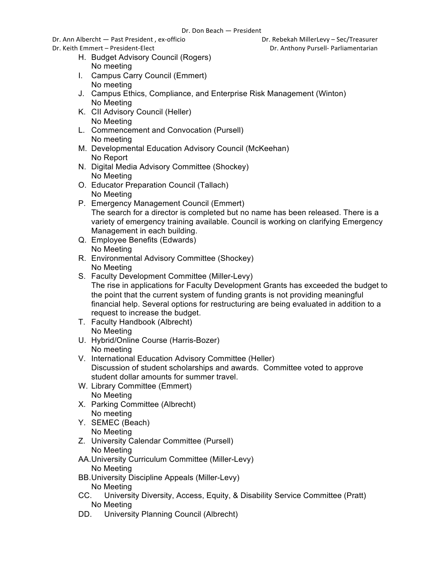Dr. Ann Albercht — Past President, ex-officio **Britannia Communist Communist Communist** Dr. Rebekah MillerLevy – Sec/Treasurer

Dr. Keith Emmert – President-Elect **Dr. Anthony Pursell- Parliamentarian** 

- H. Budget Advisory Council (Rogers) No meeting
- I. Campus Carry Council (Emmert) No meeting
- J. Campus Ethics, Compliance, and Enterprise Risk Management (Winton) No Meeting
- K. CII Advisory Council (Heller) No Meeting
- L. Commencement and Convocation (Pursell) No meeting
- M. Developmental Education Advisory Council (McKeehan) No Report
- N. Digital Media Advisory Committee (Shockey) No Meeting
- O. Educator Preparation Council (Tallach) No Meeting
- P. Emergency Management Council (Emmert) The search for a director is completed but no name has been released. There is a variety of emergency training available. Council is working on clarifying Emergency Management in each building.
- Q. Employee Benefits (Edwards) No Meeting
- R. Environmental Advisory Committee (Shockey) No Meeting
- S. Faculty Development Committee (Miller-Levy) The rise in applications for Faculty Development Grants has exceeded the budget to the point that the current system of funding grants is not providing meaningful financial help. Several options for restructuring are being evaluated in addition to a request to increase the budget.
- T. Faculty Handbook (Albrecht) No Meeting
- U. Hybrid/Online Course (Harris-Bozer) No meeting
- V. International Education Advisory Committee (Heller) Discussion of student scholarships and awards. Committee voted to approve student dollar amounts for summer travel.
- W. Library Committee (Emmert) No Meeting
- X. Parking Committee (Albrecht) No meeting
- Y. SEMEC (Beach) No Meeting
- Z. University Calendar Committee (Pursell) No Meeting
- AA.University Curriculum Committee (Miller-Levy) No Meeting
- BB.University Discipline Appeals (Miller-Levy) No Meeting
- CC. University Diversity, Access, Equity, & Disability Service Committee (Pratt) No Meeting
- DD. University Planning Council (Albrecht)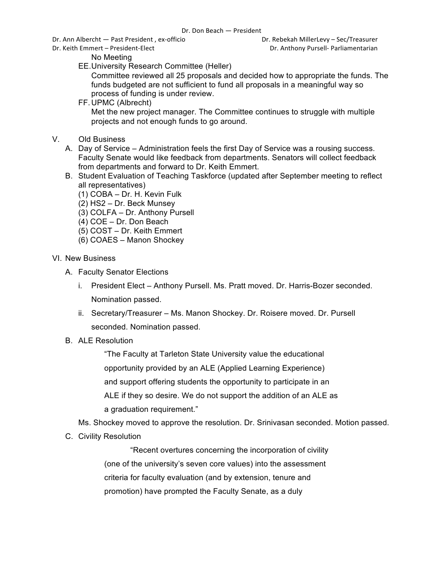Dr. Ann Albercht — Past President, ex-officio **Britannia Communist Communist Communist** Dr. Rebekah MillerLevy – Sec/Treasurer

Dr. Keith Emmert – President-Elect **Dr. Anthony Pursell- Parliamentarian** 

No Meeting

EE.University Research Committee (Heller)

Committee reviewed all 25 proposals and decided how to appropriate the funds. The funds budgeted are not sufficient to fund all proposals in a meaningful way so process of funding is under review.

FF.UPMC (Albrecht)

Met the new project manager. The Committee continues to struggle with multiple projects and not enough funds to go around.

- V. Old Business
	- A. Day of Service Administration feels the first Day of Service was a rousing success. Faculty Senate would like feedback from departments. Senators will collect feedback from departments and forward to Dr. Keith Emmert.
	- B. Student Evaluation of Teaching Taskforce (updated after September meeting to reflect all representatives)
		- (1) COBA Dr. H. Kevin Fulk
		- (2) HS2 Dr. Beck Munsey
		- (3) COLFA Dr. Anthony Pursell
		- (4) COE Dr. Don Beach
		- (5) COST Dr. Keith Emmert
		- (6) COAES Manon Shockey
- VI. New Business
	- A. Faculty Senator Elections
		- i. President Elect Anthony Pursell. Ms. Pratt moved. Dr. Harris-Bozer seconded. Nomination passed.
		- ii. Secretary/Treasurer Ms. Manon Shockey. Dr. Roisere moved. Dr. Pursell seconded. Nomination passed.
	- B. ALE Resolution

"The Faculty at Tarleton State University value the educational opportunity provided by an ALE (Applied Learning Experience) and support offering students the opportunity to participate in an ALE if they so desire. We do not support the addition of an ALE as a graduation requirement."

Ms. Shockey moved to approve the resolution. Dr. Srinivasan seconded. Motion passed.

C. Civility Resolution

"Recent overtures concerning the incorporation of civility (one of the university's seven core values) into the assessment criteria for faculty evaluation (and by extension, tenure and promotion) have prompted the Faculty Senate, as a duly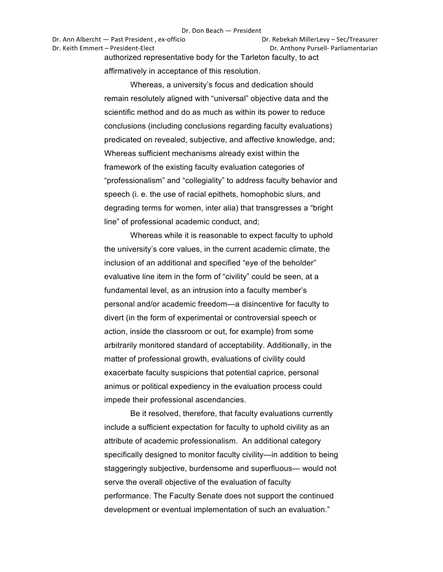Dr. Ann Albercht — Past President, ex-officio **Dr. Rebekah MillerLevy** – Sec/Treasurer Dr. Keith Emmert – President-Elect **Dr. Anthony Pursell- Parliamentarian** authorized representative body for the Tarleton faculty, to act

affirmatively in acceptance of this resolution.

Whereas, a university's focus and dedication should remain resolutely aligned with "universal" objective data and the scientific method and do as much as within its power to reduce conclusions (including conclusions regarding faculty evaluations) predicated on revealed, subjective, and affective knowledge, and; Whereas sufficient mechanisms already exist within the framework of the existing faculty evaluation categories of "professionalism" and "collegiality" to address faculty behavior and speech (i. e. the use of racial epithets, homophobic slurs, and degrading terms for women, inter alia) that transgresses a "bright line" of professional academic conduct, and;

Whereas while it is reasonable to expect faculty to uphold the university's core values, in the current academic climate, the inclusion of an additional and specified "eye of the beholder" evaluative line item in the form of "civility" could be seen, at a fundamental level, as an intrusion into a faculty member's personal and/or academic freedom—a disincentive for faculty to divert (in the form of experimental or controversial speech or action, inside the classroom or out, for example) from some arbitrarily monitored standard of acceptability. Additionally, in the matter of professional growth, evaluations of civility could exacerbate faculty suspicions that potential caprice, personal animus or political expediency in the evaluation process could impede their professional ascendancies.

Be it resolved, therefore, that faculty evaluations currently include a sufficient expectation for faculty to uphold civility as an attribute of academic professionalism. An additional category specifically designed to monitor faculty civility—in addition to being staggeringly subjective, burdensome and superfluous— would not serve the overall objective of the evaluation of faculty performance. The Faculty Senate does not support the continued development or eventual implementation of such an evaluation."